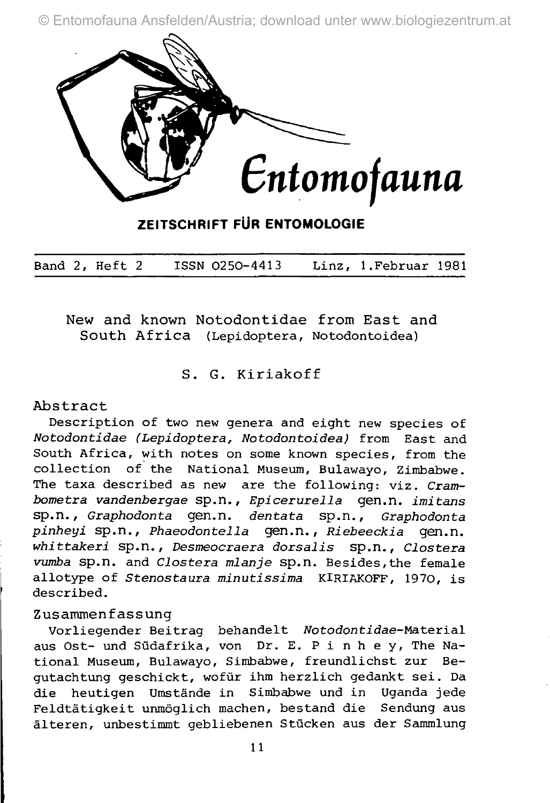© Entomofauna Ansfelden/Austria; download unter www.biologiezentrum.at



**ZEITSCHRIFT FÜR ENTOMOLOGIE**

Band 2, Heft 2 ISSN O25O-4413 Linz, 1.Februar 1981

New and known Notodontidae from East and South Africa (Lepidoptera, Notodontoidea)

## S. G. Kiriakoff

## Abstract

Description of two new genera and eight new species of *Notodontidae (Lepidoptera, Notodontoidea)* from East and South Africa, with notes on some known species, from the collection of the National Museum, Bulawayo, Zimbabwe. The taxa described as new are the following: viz. *Crambometra vandenbergae* sp.n., *Epicerurella* gen.n. *imitans* sp.n., *Graphodonta* gen.n. *dentata* sp.n., *Graphodonta pinheyi* sp.n., *Phaeodontella* gen.n., *Riebeeckia* gen.n. *whittakeri* sp.n., *Desmeocraera dorsalis* sp.n., *Clostera vumba* sp.n. and *Clostera mlanje* sp.n. Besides,the female allotype of *Stenostaura minutissima* KlRIAKOFF, 1970, is described.

## Zusammenfassung

Vorliegender Beitrag behandelt Wotodontidae-Material aus Ost- und Südafrika, von Dr. E. P i n h e y, The National Museum, Bulawayo, Simbabwe, freundlichst zur Begutachtung geschickt, wofür ihm herzlich gedankt sei. Da die heutigen Umstände in Simbabwe und in Uganda jede Feldtätigkeit unmöglich machen, bestand die Sendung aus älteren, unbestimmt gebliebenen Stücken aus der Sammlung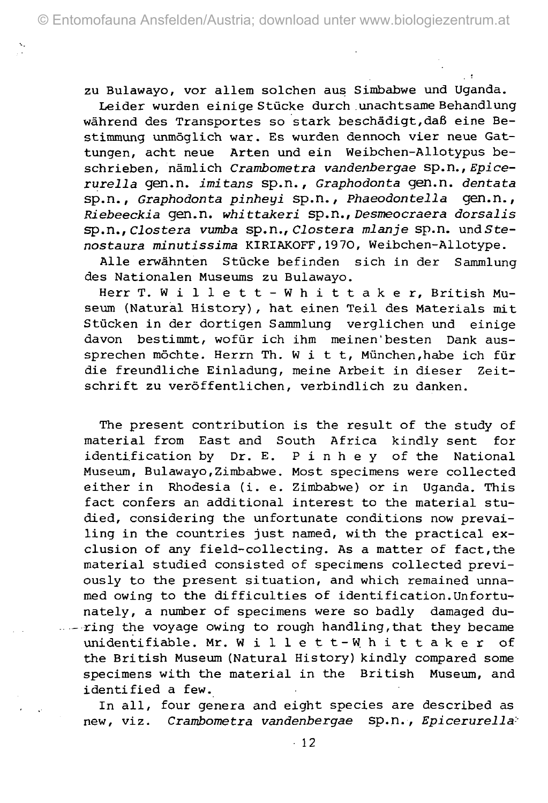zu Bulawayo, vor allem solchen aus Simbabwe und Uganda.

Leider wurden einige Stücke durch unachtsame Behandlung während des Transportes so stark beschädigt,daß eine Bestimmung unmöglich war. Es wurden dennoch vier neue Gattungen, acht neue Arten und ein Weibchen-Allotypus beschrieben, nämlich Crambometra vandenbergae sp.n., Epicerurella gen.n. imitans sp.n., Graphodonta gen.n. dentata sp.n., Graphodonta pinheyi sp.n., Phaeodontella gen.n., Riebeeckia gen.n. whittakeri sp.n., Desmeocraera dorsalis sp.n., Clostera vumba sp.n., Clostera mlanje sp.n. und Stenostaura minutissima KIRIAKOFF,1970, Weibchen-Allotype.

Alle erwähnten Stücke befinden sich in der Sammlung des Nationalen Museums zu Bulawayo.

Herr T. Willett - Whittaker, British Museum (Natural History), hat einen Teil des Materials mit Stücken in der dortigen Sammlung verglichen und einige davon bestimmt, wofür ich ihm meinen'besten Dank aussprechen möchte. Herrn Th. W i t t, München,habe ich für die freundliche Einladung, meine Arbeit in dieser Zeitschrift zu veröffentlichen, verbindlich zu danken.

The present contribution is the result of the study of material from East and South Africa kindly sent for identification by Dr. E. P i n h e y of the National Museum, Bulawayo,Zimbabwe. Most specimens were collected either in Rhodesia (i. e. Zimbabwe) or in Uganda. This fact confers an additional interest to the material studied, considering the unfortunate conditions now prevailing in the countries just named, with the practical exclusion of any field-collecting. As a matter of fact,the material studied consisted of specimens collected previously to the present Situation, and which remained unnamed owing to the difficulties of identification.Unfortunately, a number of specimens were so badly damaged du- $\ldots$  ring the voyage owing to rough handling, that they became unidentifiable. Mr. Willett-Whittaker of the British Museum (Natural History) kindly compared some specimens with the material in the British Museum, and identified a few.

In all, four genera and eight species are described as new, viz. Crambometra vandenbergae Sp.n., Epicerurella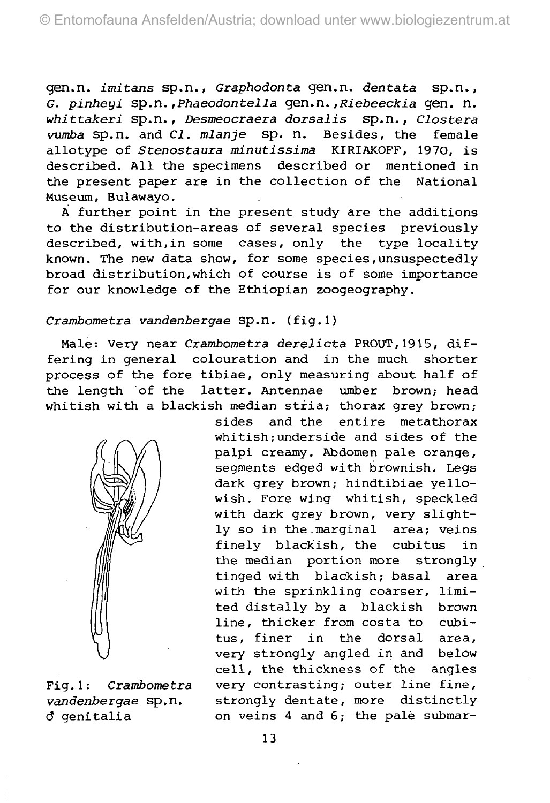gen.n. imitans sp.n., Graphodonta gen.n. dentata sp.n., G. pinheyi sp.n.,Phaeodontella gen.n.,Riebeeckia gen. n. whittakeri sp.n., Desmeocraera dorsalis sp.n., Clostera vumba sp.n. and Cl. mlanje sp. n. Besides, the female allotype of Stenostaura minutissima KIRIAKOFF, 1970, is described. All the specimens described or mentioned in the present paper are in the collection of the National Museum, Bulawayo.

Ä further point in the present study are the additions to the distribution-areas of several species previously described, with,in some cases, only the type locality known. The new data show, for some species,unsuspectedly broad distribution,which of course is of some importance for our knowledge of the Ethiopian zoogeography.

## Crambometra vandenbergae sp.n. (fig.l)

Male: Very near Crambometra derelicta PROUT,1915, differing in general colouration and in the much shorter process of the fore tibiae, only measuring about half of the length of the latter. Antennae umber brown; head whitish with a blackish median stria; thorax grey brown;



Fig.1: Crambometra vandenbergae sp.n. ö" genitalia

sides and the entire metathorax whitish; underside and sides of the palpi creamy. Abdomen pale orange, segments edged with brownish. Legs dark grey brown; hindtibiae yellowish. Fore wing whitish, speckled with dark grey brown, very slightly so in the.marginal area; veins finely blackish, the cubitus in the median portion more strongly tinged with blackish; basal area with the sprinkling coarser, limited distally by a blackish brown line, thicker from costa to cubitus, finer in the dorsal area, very strongly angled in and below cell, the thickness of the angles very contrasting; outer line fine, strongly dentate, more distinctly on veins 4 and 6; the pale submar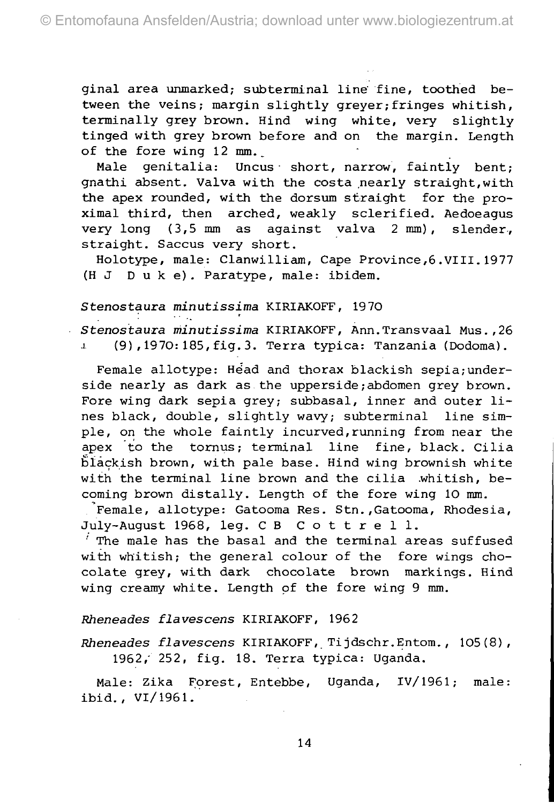ginal area unmarked; subterminal line fine, toothed between the veins; margin slightly greyer;fringes whitish, terminally grey brown. Hind wing white, very slightly tinged with grey brown before and on the margin. Length of the fore wing 12 mm..

Male genitalia: Uncus short, narrow, faintly bent; gnathi absent. Valva with the costa nearly straight, with the apex rounded, with the dorsum straight for the proximal third, then arched, weakly sclerified. Aedoeagus very long (3,5 mm as against valva 2 mm), slender-, straight. Saccus very short.

Holotype, male: Clanwilliam, Cape Province,6.VIII.1977 (H J Duke) . Paratype, male: ibidem.

Stenostaura minutissima KIRIAKOFF, 1970

Stenostaura minutissima KIRIAKOFF, Ann.Transvaal Mus.,26  $1$  (9), 1970: 185, fig.3. Terra typica: Tanzania (Dodoma).

Female allotype: Head and thorax blackish sepia; underside nearly as dark as the upperside; abdomen grey brown. Fore wing dark sepia grey; subbasal, inner and outer lines black, double, slightly wavy; subterminal line simple, on the whole faintly incurved,running from near the apex to the tornus; terminal line fine, black. Cilia blackish brown, with pale base. Hind wing brownish white with the terminal line brown and the cilia .whitish, becoming brown distally. Length of the fore wing 10 mm.

Female, allotype: Gatooma Res. Stn.,Gatooma, Rhodesia, July-August 1968, leg. C B Cottrell .

 $<sup>i</sup>$  The male has the basal and the terminal areas suffused</sup> with whitish; the general colour of the fore wings chocolate grey, with dark chocolate brown markings. Hind wing creamy white. Length pf the fore wing 9 mm.

#### Rheneades flavescens KIRIAKOFF, 1962

Rheneades flavescens KIRIAKOFF, Tijdschr.Entom., 105(8), 1962/ 252, fig. 18. Terra typica: Uganda.

Male: Zika Forest, Entebbe, Uganda, IV/1961; male: ibid., VI/1961.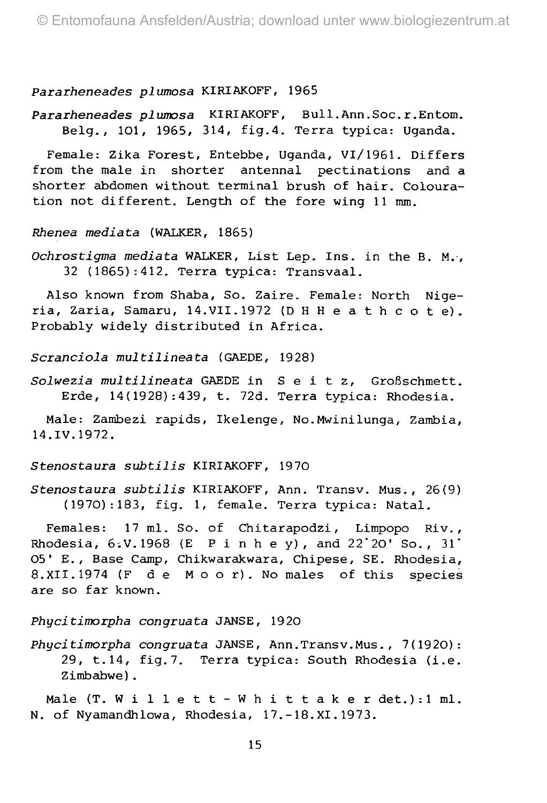#### Pararheneades plumosa KIRIAKOFF, 1965

## Pararheneades plumosa KIRIAKOFF, Bull.Ann.Soc.r.Entom. Belg., 1O1, 1965, 314, fig.4. Terra typica: Uganda.

Female: Zika Forest, Entebbe, Uganda, VI/1961. Differs from the male in shorter antennal pectinations and a shorter abdomen without terminal brush of hair. Colouration not different. Length of the fore wing 11 mm.

#### Rhenea mediata (WALKER, 1865)

Ochrostigma mediata WALKER, List Lep. Ins. in the B. M., 32 (1865):412. Terra typica: Transvaal.

Also known from Shaba, So. Zaire. Female: North Nigeria, Zaria, Samaru, 14.VII.1972 (DHHeathcote) . Probably widely distributed in Africa.

Scranciola multilineata (GAEDE, 1928)

Solwezia multilineata GAEDE in S e i t z, Großschmett. Erde, 14(1928):439, t. 72d. Terra typica: Rhodesia.

Male: Zambezi rapids, Ikelenge, No.Mwinilunga, Zambia, 14.IV.1972.

#### Stenostaura subtilis KIRIAKOFF, 1970

Stenostaura subtilis KIRIAKOFF, Ann. Transv. Mus., 26(9) (1970):183, fig. 1, female. Terra typica: Natal.

Females: 17 ml. So. of Chitarapodzi, Limpopo Riv., Rhodesia, 6.V.1968 (E P i n h e y) , and 22"2O' So., 31\* O5' E., Base Camp, Chikwarakwara, Chipese, SE. Rhodesia, 8.XII.1974 (F de Moor). No males of this species are so far known.

#### Phycitimorpha congruata JANSE, 192O

Phycitimorpha congruata JANSE, Ann.Transv.Mus., 7(1920): 29, t.14, fig.7. Terra typica: South Rhodesia (i.e. Zimbabwe).

Male (T. Willett-Whittaker det.): 1 ml. N. of Nyamandhlowa, Rhodesia, 17.-18.XI.1973.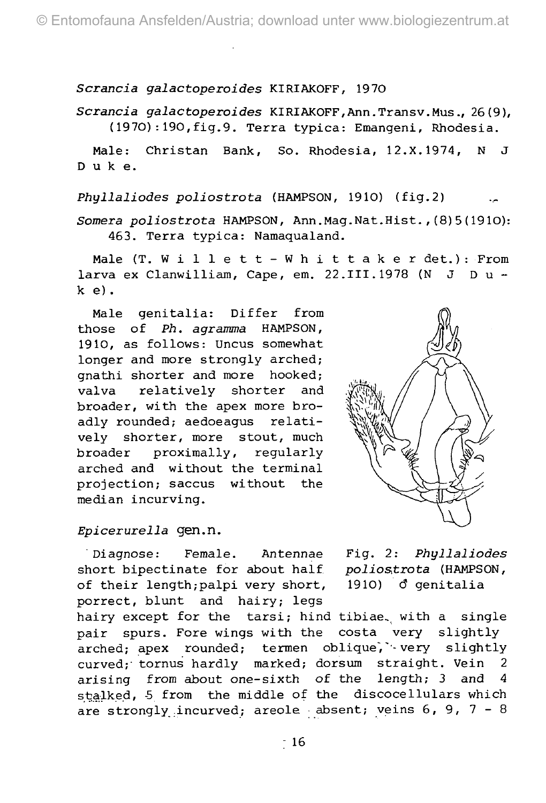Scrancia galactoperoides KIRIAKOFF, 197O

Scrancia galactoperoides KIRIAKOFF,Ann.Transv.Mus., 26(9), (1970):19O,fig.9. Terra typica: Emangeni, Rhodesia.

Male: Christan Bank, So. Rhodesia, 12.X.1974, N J Duke.

Phyllaliodes poliostrota (HAMPSON, 1910) (fig.2)

Somera poliostrota HAMPSON, Ann.Mag.Nat.Hist.,(8)5(191O): 463. Terra typica: Namaqualand.

Male  $(T. W i l l e t t - W h i t t a k e r det.)$ : From larva ex Clanwilliam, Cape, em.  $22.III.1978$  (N J D u k e) .

Male genitalia: Differ from those of Ph. agramma HAMPSON, 1910, as follows: Uncus somewhat longer and more strongly arched; gnathi shorter and more hooked; valva relatively shorter and broader, with the apex more broadly rounded; aedoeagus relatively shorter, more stout, much broader proximally, regularly arched and without the terminal projection; saccus without the median incurving.



#### Epicerurella gen.n.

Diagnose: Female. Antennae Fig. 2: Phyllaliodes short bipectinate for about half poliostrota (HAMPSON, of their length; palpi very short,  $1910$ )  $d$  genitalia porrect, blunt and hairy; legs

hairy except for the tarsi; hind tibiae, with a Single pair spurs. Fore wings with the costa very slightly arched; apex rounded; termen oblique, very slightly curved;' tornus hardly marked; dorsum straight. Vein 2 arising from about one-sixth of the length; 3 and 4 stalked, 5 from the middle of the discocellulars which are strongly incurved; areole absent; veins  $6, 9, 7 - 8$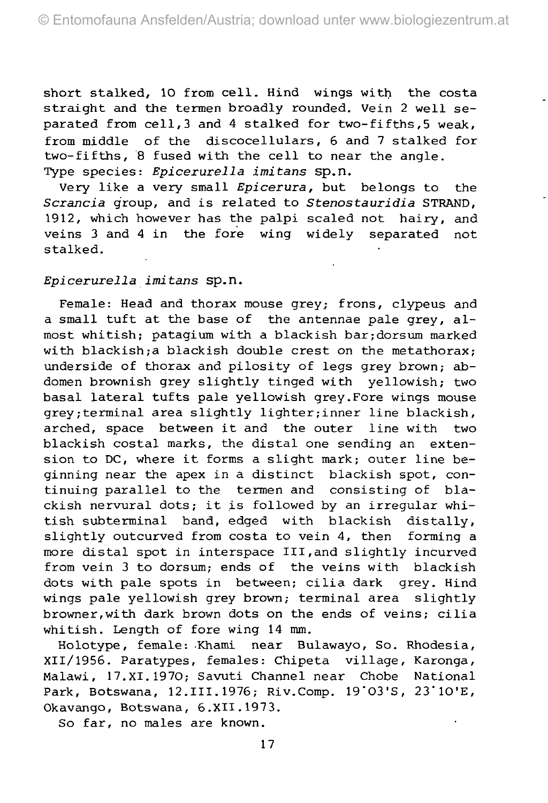short stalked, 10 from cell. Hind wings with the costa straight and the termen broadly rounded. Vein 2 well separated from cell,3 and 4 stalked for two-fifths,5 weak, from middle of the discocellulars, 6 and 7 stalked for two-fifths, 8 fused with the cell to near the angle. Type species: Epicerurella imitans Sp.n.

Very like a very small Epicerura, but belongs to the Scrancia group, and is related to Stenostauridia STRAND, 1912, which however has the palpi scaled not hairy, and veins 3 and 4 in the fore wing widely separated not stalked.

#### Epicerurella imitans sp.n.

Female: Head and thorax mouse grey; frons, clypeus and a small tuft at the base of the antennae pale grey, almost whitish; patagium with a blackish bar;dorsum marked with blackish;a blackish double crest on the metathorax; underside of thorax and pilosity of legs grey brown; abdomen brownish grey slightly tinged with yellowish; two basal lateral tufts pale yellowish grey.Fore wings mouse grey; terminal area slightly lighter; inner line blackish, arched, space between it and the outer line with two blackish costal marks, the distal one sending an extension to DC, where it forms a slight mark; outer line beginning near the apex in a distinct blackish spot, continuing parallel to the termen and consisting of blackish nervural dots; it is followed by an irregular whitish subterminal band, edged with blackish distally, slightly outcurved from costa to vein 4, then forming a more distal spot in interspace III,and slightly incurved from vein 3 to dorsum; ends of the veins with blackish dots with pale spots in between; cilia dark grey. Hind wings pale yellowish grey brown; terminal area slightly browner,with dark brown dots on the ends of veins; cilia whitish. Length of fore wing 14 mm.

Holotype, female: Khami near Bulawayo, So. Rhodesia, XIl/1956. Paratypes, females: Chipeta village, Karonga, Malawi, 17.XI.1970; Savuti Channel near Chobe National Park, Botswana, 12.III.1976; Riv.Comp. 19'03'S, 23'10'E, Okavango, Botswana, 6.XII.1973.

So far, no males are known.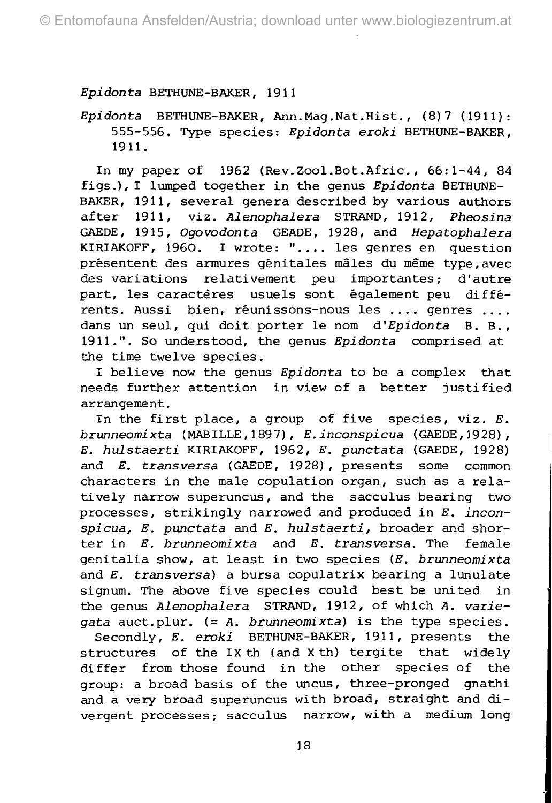## *Epidonta* BETHUNE-BAKER, 1911

*Epidonta* BETHUNE-BAKER, Ann.Mag.Nat.Hist., (8)7 (1911): 555-556. Type species: *Epidonta eroki* BETHUNE-BAKER, 1911.

In my paper of 1962 (Rev.Zool.Bot.Afric., 66:1-44, 84 figs.), I lumped together in the genus *Epidonta* BETHUNE-BAKER, 1911, several genera described by various authors after 1911, viz. *Alenophalera* STRAND, 1912, *Pheosina* GAEDE, 1915, *Ogovodonta* GEADE, 1928, and *Hepatophalera* KIRIAKOFF, 1960. I wrote: ".... les genres en question présentent des armures génitales mâles du même type, avec des variations relativement peu importantes; d'autre part, les caractères usuels sont également peu différents. Aussi bien, réunissons-nous les .... genres .... dans un seul, qui doit porter le nom *d'Epidonta* B. B., 1911.". So understood, the genus *Epidonta* comprised at the time twelve species.

I believe now the genus *Epidonta* to be a complex that needs further attention in view of a better justified arrangement.

In the first place, a group of five species, viz. *E. brunneomixta* (MABILLE,1897), *E.inconspicua* (GAEDE,1928), *E. hulstaexti* KIRIAKOFF, 1962, *E. punctata* (GAEDE, 1928) and *E. transversa* (GAEDE, 1928), presents some common characters in the male copulation organ, such as a relatively narrow superuncus, and the sacculus bearing two processes, strikingly narrowed and produced in *E. inconspicua, E. punctata* and *E. hulstaerti,* broader and shorter in *E. brunneomixta* and *E. transversa.* The female genitalia show, at least in two species *(E. brunneomixta* and *E. transversa)* a bursa copulatrix bearing a lunulate signum. The above five species could best be united in the genus *Alenophalera* STRAND, 1912, of which *A. variegata* auct.plur. (= *A. brunneomixta)* is the type species.

Secondly, *E. eroki* BETHUNE-BAKER, 1911, presents the structures of the IX th (and Xth) tergite that widely differ from those found in the other species of the group: a broad basis of the uncus, three-pronged gnathi and a very broad superuncus with broad, straight and divergent processes; sacculus narrow, with a medium long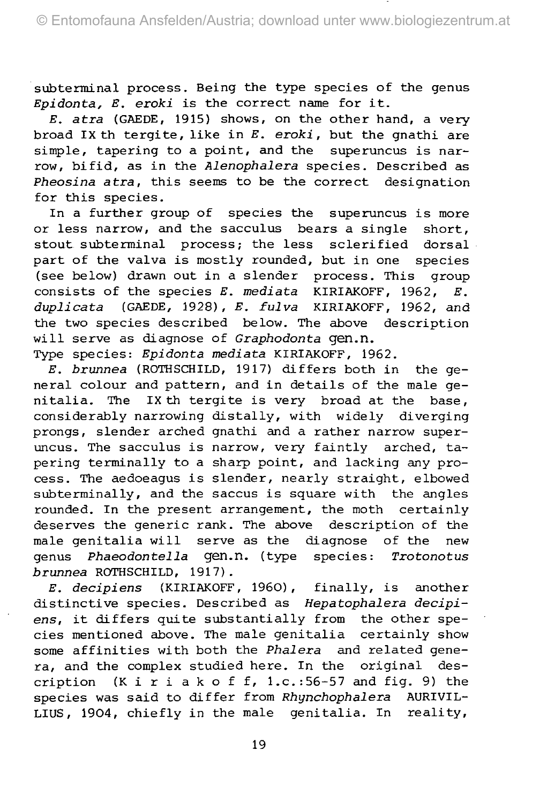subterminal process. Being the type species of the genus *Epidonta, E. eroki* is the correct name for it.

*E. atra* (GAEDE, 1915) shows, on the other hand, a very broad IX th tergite, like in *E. eroki,* but the gnathi are simple, tapering to a point, and the superuncus is narrow, bifid, as in the *Alenophalera* species. Described as *Pheosina atra,* this seems to be the correct designation for this species.

In a further group of species the superuncus is more or less narrow, and the sacculus bears a Single short, stout subterminal process; the less sclerified dorsal part of the valva is mostly rounded, but in one species (see below) drawn out in a slender process. This group consists of the species *E. mediata* KIRIAKOFF, 1962, *E. duplicata* (GAEDE, 1928), *E. fulva* KIRIAKOFF, 1962, and the two species described below. The above description will serve as diagnose of *Graphodonta* gen.n.

Type species: *Epidonta mediata* KIRIAKOFF, 1962.

*E. brunnea* (ROTHSCHILD, 1917) differs both in the general colour and pattern, and in details of the male genitalia. The IX th tergite is very broad at the base, considerably narrowing distally, with widely diverging prongs, slender arched gnathi and a rather narrow superuncus. The sacculus is narrow, very faintly arched, tapering terminally to a sharp point, and lacking any process. The aedoeagus is slender, nearly straight, elbowed subterminally, and the saccus is square with the angles rounded. In the present arrangement, the moth certainly deserves the generic rank. The above description of the male genitalia will serve as the diagnose of the new genus *Phaeodontella* gen.n. (type species: *Trotonotus brunnea* ROTHSCHILD, 1917).

*E. decipiens* (KIRIAKOFF, 1960), finally, is another distinctive species. Described as *Hepatophalera decipiens,* it differs quite substantially from the other species mentioned above. The male genitalia certainly show some affinities with both the *Phalera* and related genera, and the complex studied here. In the original description  $(K i r i a k o f f, 1.c.:56-57 and fig. 9) the$ species was said to differ from *Rhynchophalera* AURIVIL-LIUS, 1904, chiefly in the male genitalia. In reality,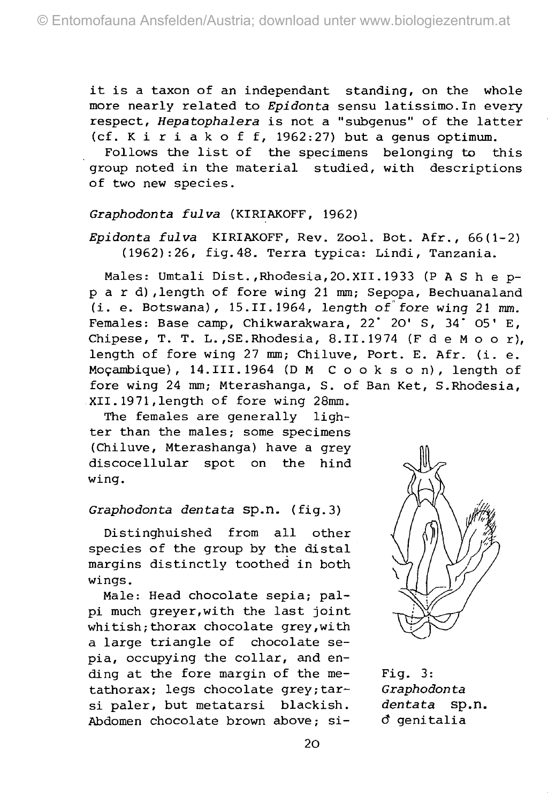it is a taxon of an independant standing, on the whole more nearly related to Epidonta sensu latissimo. In every respect, Hepatophalera is not a "subgenus" of the latter (cf. K i r i a k o f f,  $1962:27$ ) but a genus optimum.

Follows the list of the specimens belonging to this group noted in the material studied, with descriptions of two new species.

#### Graphodonta fulva (KIRIAKOFF, 1962)

Epidonta fulva KIRIAKOFF, Rev. Zool. Bot.  $Afr.$ , 66(1-2) (1962):26, fig.48. Terra typica: Lindi, Tanzania.

Males: Umtali Dist.,Rhodesia,20.XII.1933 (P A S h e pp a r d)»length of fore wing 21 mm; Sepopa, Bechuanaland (i. e. Botswana), 15.11.1964, length of"fore wing 21 mm. Females: Base camp, Chikwarakwara, 22° 20' S, 34° 05' E, Chipese, T. T. L.,SE.Rhodesia, 8.II.1974 (F d e M o o r), length of fore wing 27 mm; Chiluve, Port. E. Afr. (i. e. Mocambique), 14.III.1964 (DM Cookson) , length of fore wing 24 mm; Mterashanga, S. of Ban Ket, S.Rhodesia, XII. 1971,length of fore wing 28mm.

The females are generally lighter than the males; some specimens (Chiluve, Mterashanga) have a grey discocellular spot on the hind wing.

## *Graphodonta dentata* sp.n. (fig.3)

Distinghuished from all other species of the group by the distal margins distinctly toothed in both wings.

Male: Head chocolate sepia; palpi much greyer,with the last Joint whitish; thorax chocolate grey, with a large triangle of chocolate sepia, occupying the collar, and ending at the fore margin of the me-<br>Fig. 3: tathorax; legs chocolate grey;tar- Graphodonta si paler, but metatarsi blackish. dentata sp.n. Abdomen chocolate brown above; si- ö\* genitalia

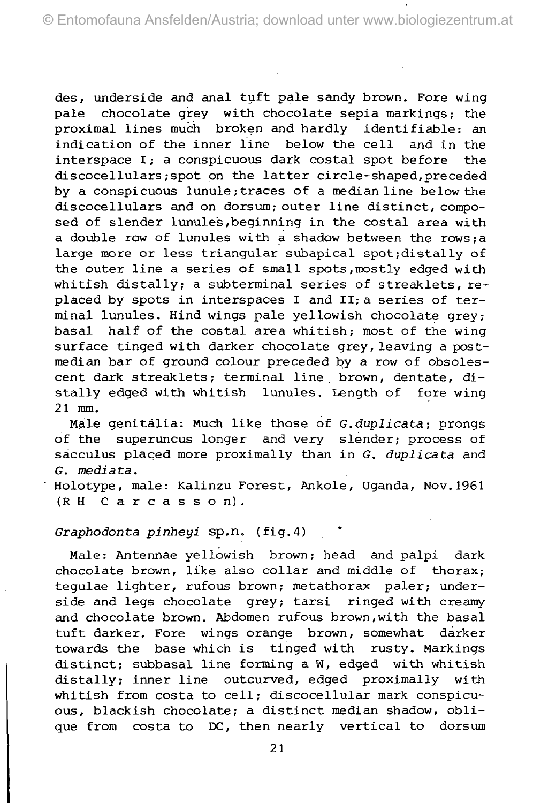des, underside and anal tuft pale sandy brown. Fore wing pale chocolate grey with chocolate sepia markings; the proximal lines much broken and hardly identifiable: an indication of the inner line below the cell and in the interspace I; a conspicuous dark costal spot before the discocellulars;spot on the latter circle-shaped,preceded by a conspicuous lunule ;traces of a median line below the discocellulars and on dorsum; outer line distinct, composed of slender lunules,beginning in the costal area with a double row of lunules with a shadow between the rows;a large more or less triangular subapical spot;distally of the outer line a series of small spots,mostly edged with whitish distally; a subterminal series of streaklets, replaced by spots in interspaces I and II; a series of terminal lunules. Hind wings pale yellowish chocolate grey; basal half of the costal area whitish; most of the wing surface tinged with darker chocolate grey, leaving a postmedian bar of ground colour preceded by a row of obsolescent dark streaklets; terminal line. brown, dentate, distally edged with whitish lunules. Length of fore wing 21 mm.

Male genitälia: Much like those of *G.duplicata;* prongs of the superuncus longer and very slender; process of sacculus placed more proximally than in *G. duplicata* and *G. mediata.*

Holotype, male: Kalinzu Forest, Ankole, Uganda, Nov.1961 (RH Carcasson) .

#### *Graphodonta pinheyi* sp.n. (fig.4) . \*

Male: Antennae yellowish brown; head and palpi dark chocolate brown, like also collar and middle of thorax; tegulae lighter, rufous brown; metathorax paler; underside and legs chocolate grey; tarsi ringed with creamy and chocolate brown. Abdomen rufous brown,with the basal tuft darker. Fore wings orange brown, somewhat darker towards the base which is tinged with rusty. Markings distinct; subbasal line forming a W, edged with whitish distally; inner line outcurved, edged proximally with whitish from costa to cell; discocellular mark conspicuous, blackish chocolate; a distinct median shadow, oblique from costa to DC, then nearly vertical to dorsum

21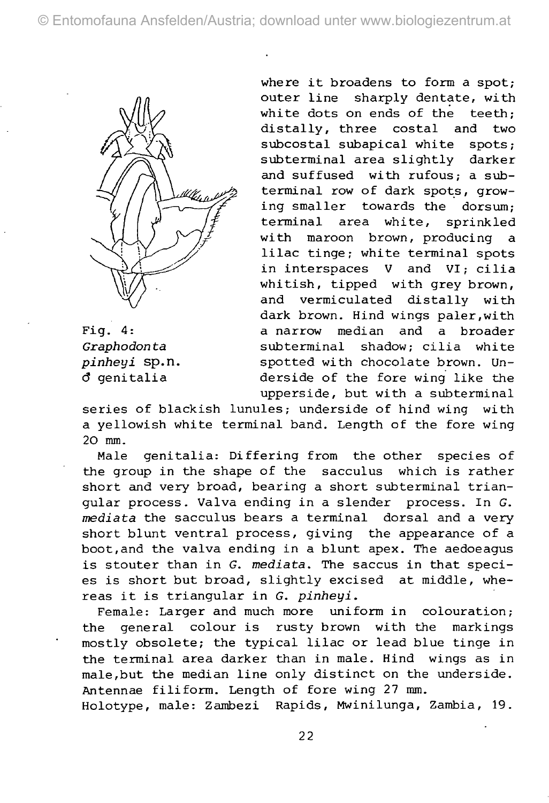

Fig. 4: Graphodonta pinheyi sp.n. ö" genitalia

where it broadens to form a spot; outer line sharply dentate, with white dots on ends of the teeth: distally, three costal and two subcostal subapical white spots; subterminal area slightly darker and suffused with rufous; a subterminal row of dark spots, growing smaller towards the dorsum; terminal area white, sprinkled with maroon brown, producing a lilac tinge; white terminal spots in interspaces V and VI; cilia whitish, tipped with grey brown, and vermiculated distally with dark brown. Hind wings paler,with a narrow median and a broader subterminal shadow; cilia white spotted with chocolate brown. Underside of the fore wing like the upperside, but with a subterminal

series of blackish lunules; underside of hind wing with a yellowish white terminal band. Length of the fore wing 2O mm.

Male genitalia: Differing from the other species of the group in the shape of the sacculus which is rather short and very broad, bearing a short subterminal triangulär process. Valva ending in a slender process. In G. mediata the sacculus bears a terminal dorsal and a very short blunt ventral process, giving the appearance of a boot.and the valva ending in a blunt apex. The aedoeagus is stouter than in G. mediata. The saccus in that species is short but broad, slightly excised at middle, whereas it is triangular in G. pinheyi.

Female: Larger and much more uniform in colouration; the general colour is rusty brown with the markings mostly obsolete; the typical lilac or lead blue tinge in the terminal area darker than in male. Hind wings as in male,but the median line only distinct on the underside. Antennae filiform. Length of fore wing 27 mm. Holotype, male: Zambezi Rapids, Mwinilunga, Zambia, 19.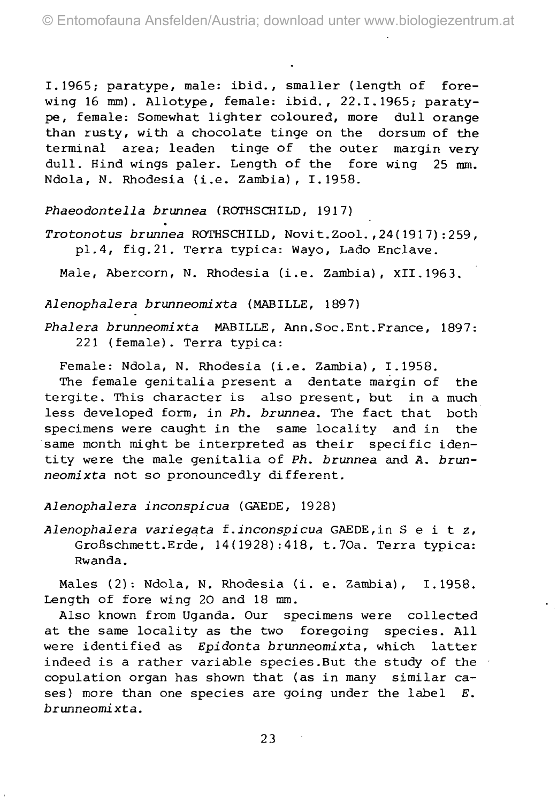1.1965; paratype, male: ibid., smaller (length of forewing 16 mm). Allotype, female: ibid., 22.1.1965; paratype, female: Somewhat lighter coloured, more dull orange than rusty, with a chocolate tinge on the dorsum of the terminal area; leaden tinge of the outer margin very dull. Hind wings paler. Length of the fore wing 25 mm. Ndola, N. Rhodesia (i.e. Zambia), I.1958.

*Phaeodontella brunnea* (ROTHSCHILD, 1917)

*Trotonotus brunnea* ROTHSCHILD, Novit.Zool.,24(1917):259 , pl.4, fig.21. Terra typica: Wayo, Lado Enclave.

Male, Abercorn, N. Rhodesia (i.e. Zambia), XII.1963.

*Alenophalera brunneomixta* (MABILLE, 1897)

*Phalera brunneomixta* MABILLE, Ann.Soc.Ent.France, 1897: 221 (female). Terra typica:

Female: Ndola, N. Rhodesia (i.e. Zambia), I.1958.

The female genitalia present a dentate margin of the tergite. This character is also present, but in a much less developed form, in *Ph. brunnea.* The fact that both specimens were caught in the same locality and in the same month might be interpreted as their specific identity were the male genitalia of *Ph. brunnea* and *A. brunneomixta* not so pronouncedly different.

*Alenophalera inconspicua* (GÄEDE, 1928)

*Alenophalera variegata* f*.inconspicua* GAEDE,in S e i t z, Großschmett.Erde, 14(1928):418, t.70a. Terra typica: Rwanda.

Males (2): Ndola, N. Rhodesia (i. e. Zambia), 1.1958. Length of fore wing 20 and 18 mm.

Also known from Uganda. Our specimens were collected at the same locality as the two foregoing species. All were identified as *Epidonta brunneomixta*, which latter indeed is a rather variable species.But the study of the copulation organ has shown that (as in many similar cases) more than one species are going under the label *E. brunneomixta.*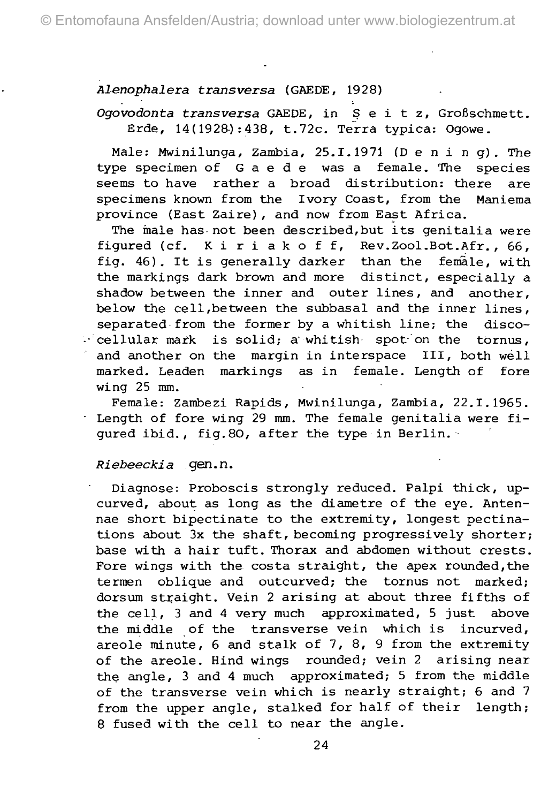## *Alenophalera transversa* (GAEDE, 1928)

## *Ogovodonta transversa* GAEDE, in S e i t z, Großschmett. Erde, 14(1928):438, t.72c. Terra typica: Ogowe.

Male: Mwinilunga, Zambia, 25.1.1971 (D e n i n g). The type specimen of G a e d e was a female. The species seems to have rather a broad distribution: there are specimens known from the Ivory Coast, from the Maniema province (East Zaire), and now from East Africa.

The male has-not been described,but its genitalia were figured (cf. Kiriakoff, Rev.Zool.Bot.Afr., 66, fig. 46). It is generally darker than the female, with the markings dark brown and more distinct, especially a shadow between the inner and outer lines, and another, below the cell, between the subbasal and the inner lines, separated from the former by a whitish line; the discocellular mark is solid; a' whitish spot'on the tornus, and another on the margin in interspace III, both well marked. Leaden markings as in female. Length of fore wing 25 mm.

Female: Zambezi Rapids, Mwinilunga, Zambia, 22.1.1965. Length of fore wing 29 mm. The female genitalia were figured ibid., fig.80, after the type in Berlin.

#### *Riebeeckia* gen.n.

Diagnose: Proboscis strongly reduced. Palpi thick, upcurved, about as long as the diametre of the eye. Antennae short bipectinate to the extremity, longest pectinations about 3x the shaft, becoming progressively shorter; base with a hair tuft. Thorax and abdomen without crests. Fore wings with the costa straight, the apex rounded, the termen oblique and outcurved; the tornus not marked; dorsum straight. Vein 2 arising at about three fifths of the cell, 3 and 4 very much approximated, 5 just above the middle of the transverse vein which is incurved, areole minute, 6 and stalk of 7, 8, 9 from the extremity of the areole. Hind wings rounded; vein 2 arising near the angle, 3 and 4 much approximated; 5 from the middle of the transverse vein which is nearly straight; 6 and 7 from the upper angle, stalked for half of their length; 8 fused with the cell to near the angle.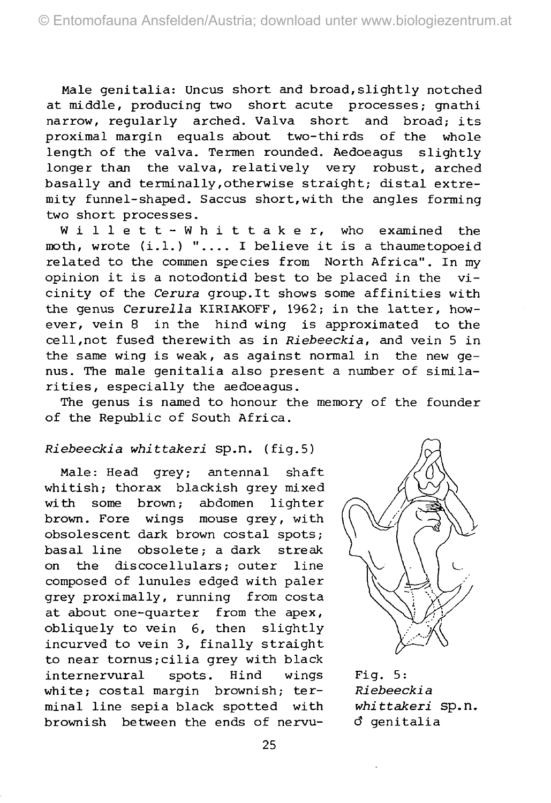Male genitalia: Uncus short and broad,slightly notched at middle, producing two short acute processes; gnathi narrow, regularly arched. Valva short and broad; its proximal margin equals about two-thirds of the whole length of the valva. Termen rounded. Aedoeagus slightly longer than the valva, relatively very robust, arched basally and terminally,otherwise straight; distal extremity funnel-shaped. Saccus short,with the angles forming two short processes.

Willett-Whittaker, who examined the moth, wrote (i.l.) "... . I believe it is a thaumetopoeid related to the commen species from North Africa". In my opinion it is a notodontid best to be placed in the vicinity of the *Cerura* group.lt shows some affinities with the genus *Cerurella* KIRIAKOFF, 1962; in the latter, however, vein 8 in the hind wing is approximated to the cell,not fused therewith as in *Riebeeckia,* and vein 5 in the same wing is weak, as against normal in the new genus. The male genitalia also present a number of similarities, especially the aedoeagus.

The genus is named to honour the memory of the founder of the Republic of South Africa.

## *Riebeeckia whittakeri* sp.n. (fig.5)

Male: Head grey; antennal shaft whitish; thorax blackish grey mixed with some brown; abdomen lighter brown. Fore wings mouse grey, with obsolescent dark brown costal spots; basal line obsolete; a dark streak on the discocellulars; outer line composed of lunules edged with paler grey proximally, running from costa at about one-quarter from the apex, obliquely to vein 6, then slightly incurved to vein 3, finally straight to near tornus; cilia grey with black internervural spots. Hind wings white; costal margin brownish; terminal line sepia black spotted with brownish between the ends of nervu-



Fig. 5: *Riebeeckia whittakeri* sp.n. ö\* genitalia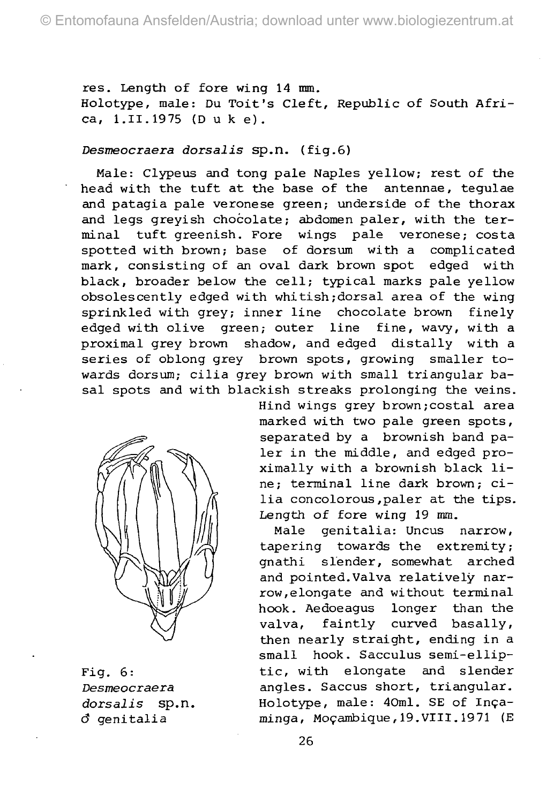res. Length of fore wing 14 mm. Holotype, male: Du Toit's Cleft, Republic of South Africa, 1.II.1975 (Duke) .

#### *Desmeocraera dorsalis* sp.n. (fig.6)

Male: Clypeus and tong pale Naples yellow; rest of the head with the tuft at the base of the antennae, tegulae and patagia pale veronese green; underside of the thorax and legs greyish chocolate; abdomen paler, with the terminal tuft greenish. Fore wings pale veronese; costa spotted with brown; base of dorsum with a complicated mark, consisting of an oval dark brown spot edged with black, broader below the cell; typical marks pale yellow obsolescently edged with whitish;dorsal area of the wing sprinkled with grey; inner line chocolate brown finely edged with olive green; outer line fine, wavy, with a proximal grey brown shadow, and edged distally with a series of oblong grey brown spots, growing smaller towards dorsum; cilia grey brown with small triangular basal spots and with blackish streaks prolonging the veins.



Hind wings grey brown;costal area marked with two pale green spots, separated by a brownish band paler in the middle, and edged proximally with a brownish black line; terminal line dark brown; cilia concolorous,paler at the tips. Length of fore wing 19 mm.

Male genitalia: Uncus narrow, tapering towards the extremity; gnathi slender, somewhat arched and pointed.Valva relatively narrow, elongate and without terminal hook. Aedoeagus longer than the valva, faintly curved basally, then nearly straight, ending in a small hook. Sacculus semi-ellip-Fig. 6: tic, with elongate and slender *Desmeocraera* angles. Saccus Short, triangulär. dorsalis sp.n. Holotype, male: 40ml. SE of Inca-*6* genitalia minga, Mocambique,19.VIII.1971 (E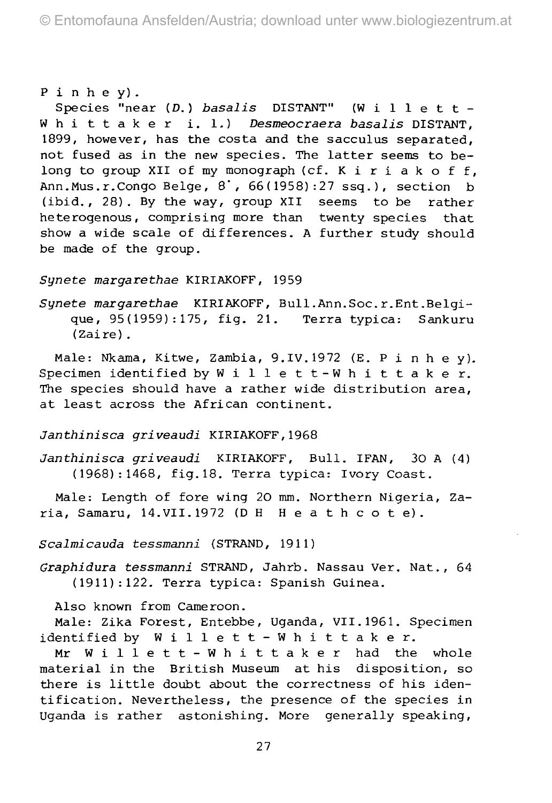#### P i n h e y) .

Species "near (D.) basalis DISTANT" (W i l l e t t -Whittake r i . 1.) *Desmeocraera basalis* DISTANT, 1899, however, has the costa and the sacculus separated, not fused as in the new species. The latter seems to belong to group XII of my monograph (cf. K i r i a k o f f, Ann.Mus.r.Congo Belge,  $8'$ ,  $66(1958):27$  ssq.), section b  $(ibid., 28)$ . By the way, group XII seems to be rather heterogenous, comprising more than twenty species that show a wide scale of differences. A further study should be made of the group.

#### *Synete margarethae* KIRIAKOFF, 1959

*Synete margarethae* KIRIAKOFF, Bull.Ann.Soc.r.Ent.Belgique, 95(1959):175, fig. 21. Terra typica: Sankuru (Zaire).

Male: Nkama, Kitwe, Zambia, 9.IV.1972 (E. P i n h e y). Specimen identified by  $W$  illett-Whittaker. The species should have a rather wide distribution area, at least across the African continent.

#### Janthinisca griveaudi KIRIAKOFF,1968

Janthinisca griveaudi KIRIAKOFF, Bull. IFAN, 30 A (4) (1968):1468, fig.18. Terra typica: Ivory Coast.

Male: Length of fore wing 20 mm. Northern Nigeria, Zaria, Samaru, 14.VII.1972 (DH Heathcote) .

Scalmicauda tessmanni (STRAND, 1911)

Graphidura tessmanni STRAND, Jahrb. Nassau Ver. Nat., 64 (1911):122. Terra typica: Spanish Guinea.

Also known from Cameroon.

Male: Zika Forest, Entebbe, Uganda, VII.1961. Specimen identified by  $W$  illett-Whittaker.

Mr Willett-Whittake r had the whole material in the British Museum at his disposition, so there is little doubt about the correctness of his identification. Nevertheless, the presence of the species in Uganda is rather astonishing. More generally speaking,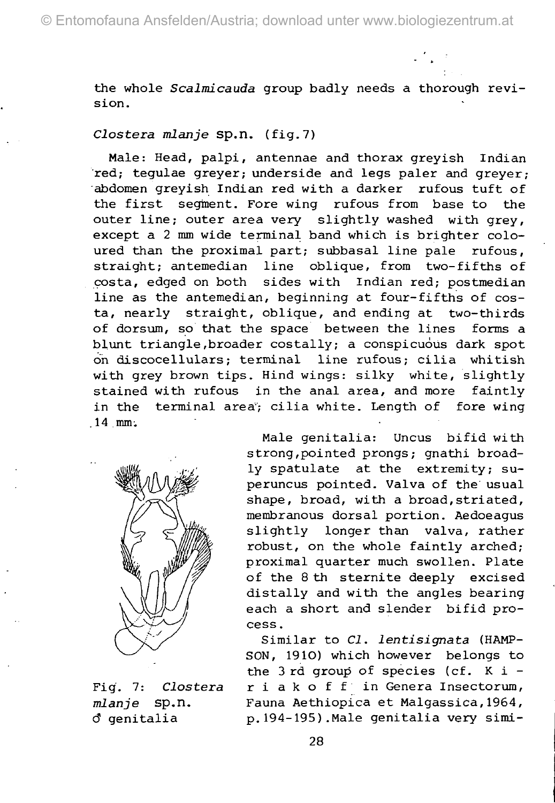the whole *Scalmicauda* group badly needs a thorough revision.

#### *Clostera mlanje* sp.n. (fig.7)

Male: Head, palpi, antennae and thorax greyish Indian red; tegulae greyer; underside and legs paler and greyer; abdomen greyish Indian red with a darker rufous tuft of the first segment. Fore wing rufous from base to the outer line; outer area very slightly washed with grey, except a 2 mm wide terminal band which is brighter coloured than the proximal part; subbasal line pale rufous, straight; antemedian line oblique, from two-fifths of costa, edged on both sides with Indian red; postmedian line as the antemedian, beginning at four-fifths of Costa, nearly straight, oblique, and ending at two-thirds of dorsum, so that the space between the lines forms a blunt triangle, broader costally; a conspicuous dark spot on discocellulars; terminal line rufous; cilia whitish with grey brown tips. Hind wings: silky white, slightly stained with rufous in the anal area, and more faintly in the terminal area; cilia white. Length of fore wing .14 mm-.



Fig. 7: *Clostera mlanje* sp.n. ö\* genitalia

Male genitalia: Uncus bifid with strong,pointed prongs; gnathi broadly spatulate at the extremity; superuncus pointed. Valva of the usual shape, broad, with a broad,striated, membranous dorsal portion. Aedoeagus slightly longer than valva, rather robust, on the whole faintly arched; proximal quarter much swollen. Plate of the 8 th sternite deeply excised distally and with the angles bearing each a short and slender bifid process.

Similar to *Cl. lentisignata* (HAMP-SON, 191O) which however belongs to the 3 rd group of species (cf. K i riakoffi n Genera Insectorum, Fauna Aethiopica et Malgassica,1964, p.194-195).Male genitalia very simi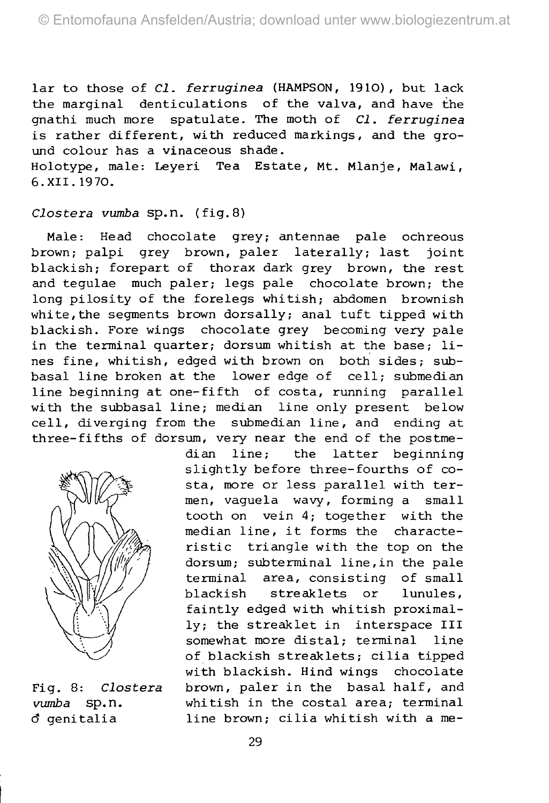lar to those of *Cl. ferruginea* (HAMPSON, 1910), but lack the marginal denticulations of the valva, and have the gnathi much more spatulate. The moth of *Cl. ferruginea* is rather different, with reduced markings, and the ground colour has a vinaceous shade. Holotype, male: Leyeri Tea Estate, Mt. Mlanje, Malawi, 6.XII.1970.

#### *Clostera vumba* sp.n. (fig.8)

Male: Head chocolate grey; antennae pale ochreous brown; palpi grey brown, paler laterally; last joint blackish; forepart of thorax dark grey brown, the rest and tegulae much paler; legs pale chocolate brown; the long pilosity of the forelegs whitish; abdomen brownish white, the segments brown dorsally; anal tuft tipped with blackish. Fore wings chocolate grey becoming very pale in the terminal quarter; dorsum whitish at the base; lines fine, whitish, edged with brown on both sides; subbasal line broken at the lower edge of cell; submedian line beginning at one-fifth of costa, running parallel with the subbasal line; median line only present below cell, diverging from the submedian line, and ending at three-fifths of dorsum, very near the end of the postme-



dian line; the latter beginning slightly before three-fourths of costa, more or less parallel with termen, vaguela wavy, forming a small tooth on vein 4; together with the median line, it forms the characteristic triangle with the top on the dorsum; subterminal line,in the pale terminal area, consisting of small blackish streaklets or lunules, faintly edged with whitish proximally; the streaklet in interspace III somewhat more distal; terminal line of blackish streaklets; cilia tipped with blackish. Hind wings chocolate Fig. 8: *Clostera* brown, paler in the basal half, and *vumba* sp.n. whitish in the costal area; terminal *6* genitalia line brown; cilia whitish with a me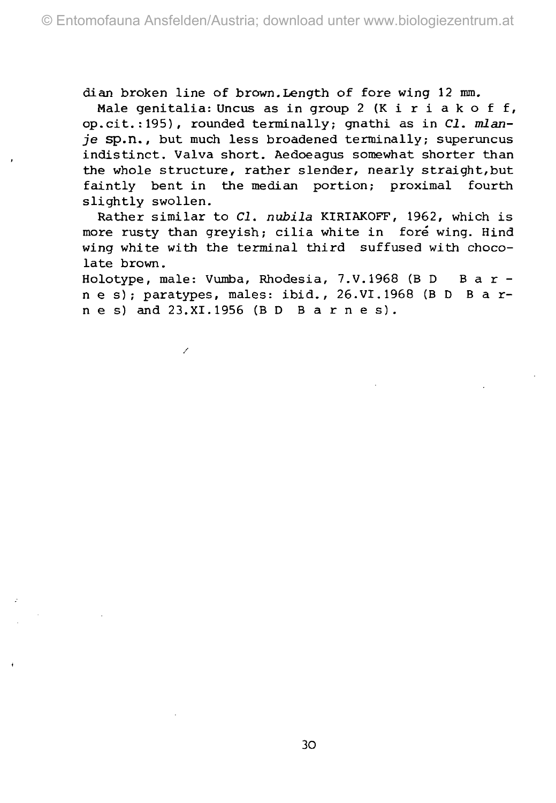dian broken line of brown.Length of fore wing 12 mm.

Male genitalia: Uncus as in group 2 (K i r i a k o f f, op.cit.:195), rounded terminally; gnathi as in *Cl. mlanje* sp.n. , but much less broadened terminally; superuncus indistinct. Valva short. Aedoeagus somewhat shorter than the whole structure, rather slender, nearly straight, but faintly bent in the median portion; proximal fourth slightly swollen.

Rather similar to *Cl. nubila* KIRIAKOFF, 1962, which is more rusty than greyish; cilia white in fore wing. Hind wing white with the terminal third suffused with chocolate brown.

Holotype, male: Vumba, Rhodesia, 7.V.1968 (B D Bar n e s); paratypes, males: ibid., 26.VI.1968 (B D B a r $n e s$ ) and  $23.XT.1956$  (BD Barnes).

Z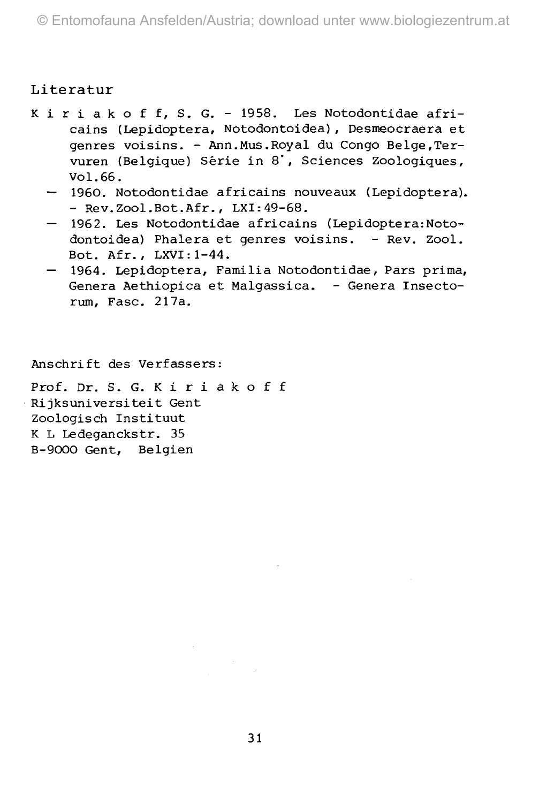# Literatur

- Kiriakoff, S. G. 1958. Les Notodontidae africains (Lepidoptera, Notodontoidea), Desmeocraera et genres voisins. - Ann.Mus.Royal du Congo Beige,Tervuren (Belgique) Serie in 8", Sciences Zoologiques, Vol.66.
	- 1960. Notodontidae africains nouveaux (Lepidoptera). - Rev.Zool.Bot.Afr., LXI:49-68.
	- 1962. Les Notodontidae africains (Lepidoptera:Notodontoidea) Phalera et genres voisins. - Rev. Zool. Bot. Afr., LXVI:l-44.
	- 1964. Lepidoptera, Familia Notodontidae, Pars prima, Genera Aethiopica et Malgassica. - Genera Insectorum, Fase. 217a.

Anschrift des Verfassers:

Prof. Dr. S. G. Kiriakof f Rijksuniversiteit Gent Zoologisch Instituut K L Ledeganckstr. 35 B-9000 Gent, Belgien